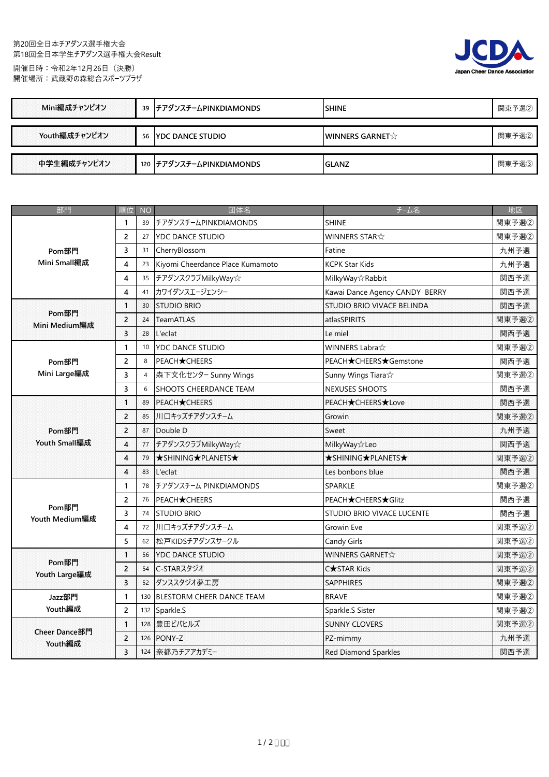## 第20回全日本チアダンス選手権大会 第18回全日本学生チアダンス選手権大会Result 開催日時:令和2年12月26日(決勝)

開催場所:武蔵野の森総合スポーツプラザ



| Mini編成チャンピオン  |    | 39 チアダンスチームPINKDIAMONDS  | <b>SHINE</b>                             | 関東予選② |
|---------------|----|--------------------------|------------------------------------------|-------|
|               |    |                          |                                          |       |
| Youth編成チャンピオン | 56 | <u>IYDC DANCE STUDIO</u> | <b>WINNERS GARNET</b> $\hat{\mathbf{x}}$ | 関東予選② |
|               |    |                          |                                          |       |
| 中学生編成チャンピオン   |    | 120 チアダンスチームPINKDIAMONDS | <b>GLANZ</b>                             | 関東予選③ |

| 部門                            | 順位                      | <b>NO</b>      | 団体名                              | チーム名                              | 地区    |
|-------------------------------|-------------------------|----------------|----------------------------------|-----------------------------------|-------|
| Pom部門<br>Mini Small編成         | 1                       | 39             | チアダンスチームPINKDIAMONDS             | <b>SHINE</b>                      | 関東予選2 |
|                               | $\overline{2}$          | 27             | <b>YDC DANCE STUDIO</b>          | WINNERS STAR $\chi$               | 関東予選2 |
|                               | 3                       | 31             | CherryBlossom                    | Fatine                            | 九州予選  |
|                               | 4                       | 23             | Kiyomi Cheerdance Place Kumamoto | <b>KCPK Star Kids</b>             | 九州予選  |
|                               | 4                       | 35             | チアダンスクラブMilkyWay☆                | MilkyWay☆Rabbit                   | 関西予選  |
|                               | 4                       | 41             | カワイダンスエージェンシー                    | Kawai Dance Agency CANDY BERRY    | 関西予選  |
|                               | 1                       | 30             | <b>STUDIO BRIO</b>               | STUDIO BRIO VIVACE BELINDA        | 関西予選  |
| Pom部門<br><b>Mini Medium編成</b> | $\overline{c}$          | 24             | <b>TeamATLAS</b>                 | atlasSPIRITS                      | 関東予選2 |
|                               | 3                       | 28             | L'eclat                          | Le miel                           | 関西予選  |
|                               | 1                       | 10             | YDC DANCE STUDIO                 | <b>WINNERS Labra</b> ☆            | 関東予選2 |
| Pom部門                         | 2                       | 8              | <b>PEACH</b> ★CHEERS             | PEACH★CHEERS★Gemstone             | 関西予選  |
| Mini Large編成                  | 3                       | $\overline{4}$ | 森下文化センター Sunny Wings             | Sunny Wings Tiara $\&$            | 関東予選2 |
|                               | 3                       | 6              | SHOOTS CHEERDANCE TEAM           | NEXUSES SHOOTS                    | 関西予選  |
|                               | $\mathbf{1}$            | 89             | <b>PEACH</b> ★CHEERS             | PEACH★CHEERS★Love                 | 関西予選  |
|                               | $\overline{c}$          | 85             | 川口キッズチアダンスチーム                    | Growin                            | 関東予選2 |
| Pom部門                         | $\overline{c}$          | 87             | Double D                         | Sweet                             | 九州予選  |
| Youth Small編成                 | $\overline{\mathbf{4}}$ | 77             | チアダンスクラブMilkyWay☆                | <b>MilkyWay</b> x Leo             | 関西予選  |
|                               | $\overline{\mathbf{4}}$ | 79             | ★SHINING★PLANETS★                | ★SHINING★PLANETS★                 | 関東予選2 |
|                               | $\overline{\mathbf{4}}$ | 83             | L'eclat                          | Les bonbons blue                  | 関西予選  |
|                               | 1                       | 78             | チアダンスチーム PINKDIAMONDS            | <b>SPARKLE</b>                    | 関東予選2 |
|                               | 2                       | 76             | <b>PEACH</b> ★CHEERS             | PEACH★CHEERS★Glitz                | 関西予選  |
| Pom部門<br>Youth Medium編成       | 3                       | 74             | <b>STUDIO BRIO</b>               | <b>STUDIO BRIO VIVACE LUCENTE</b> | 関西予選  |
|                               | 4                       | 72             | 川口キッズチアダンスチーム                    | Growin Eve                        | 関東予選2 |
|                               | 5                       | 62             | 松戸KIDSチアダンスサークル                  | Candy Girls                       | 関東予選2 |
|                               | $\mathbf{1}$            | 56             | <b>YDC DANCE STUDIO</b>          | WINNERS GARNET☆                   | 関東予選2 |
| Pom部門<br>Youth Large編成        | $\overline{2}$          | 54             | C-STARスタジオ                       | C <b>★</b> STAR Kids              | 関東予選2 |
|                               | 3                       | 52             | ダンススタジオ夢工房                       | <b>SAPPHIRES</b>                  | 関東予選2 |
| Jazz部門                        | 1                       | 130            | BLESTORM CHEER DANCE TEAM        | <b>BRAVE</b>                      | 関東予選2 |
| Youth編成                       | $\overline{2}$          | 132            | Sparkle.S                        | Sparkle.S Sister                  | 関東予選2 |
|                               | 1                       | 128            | 豊田ビバヒルズ                          | <b>SUNNY CLOVERS</b>              | 関東予選2 |
| Cheer Dance部門<br>Youth編成      | $\overline{2}$          | 126            | PONY-Z                           | PZ-mimmy                          | 九州予選  |
|                               | 3                       |                | 124 奈都乃チアアカデミー                   | <b>Red Diamond Sparkles</b>       | 関西予選  |